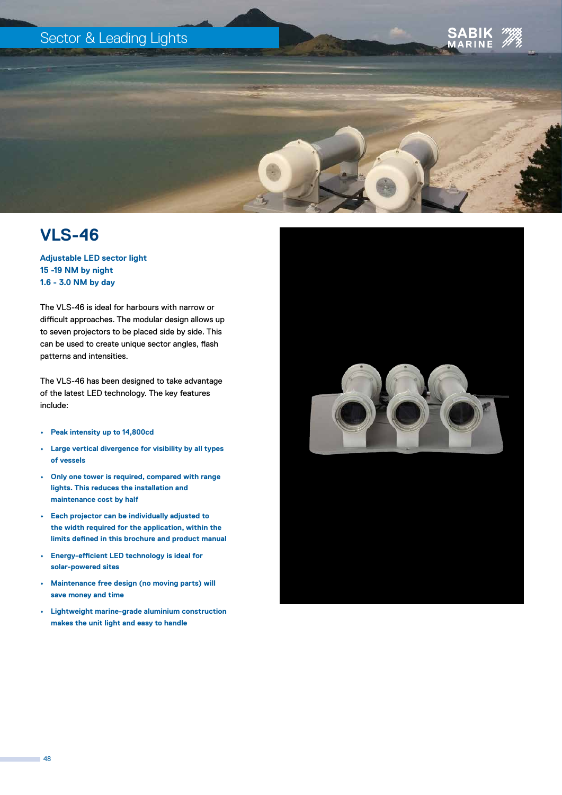## Sector & Leading Lights





**Adjustable LED sector light 15 -19 NM by night 1.6 - 3.0 NM by day**

The VLS-46 is ideal for harbours with narrow or difficult approaches. The modular design allows up to seven projectors to be placed side by side. This can be used to create unique sector angles, flash patterns and intensities.

The VLS-46 has been designed to take advantage of the latest LED technology. The key features include:

- **• Peak intensity up to 14,800cd**
- **• Large vertical divergence for visibility by all types of vessels**
- **• Only one tower is required, compared with range lights. This reduces the installation and maintenance cost by half**
- **• Each projector can be individually adjusted to the width required for the application, within the limits defined in this brochure and product manual**
- **• Energy-efficient LED technology is ideal for solar-powered sites**
- **• Maintenance free design (no moving parts) will save money and time**
- **• Lightweight marine-grade aluminium construction makes the unit light and easy to handle**